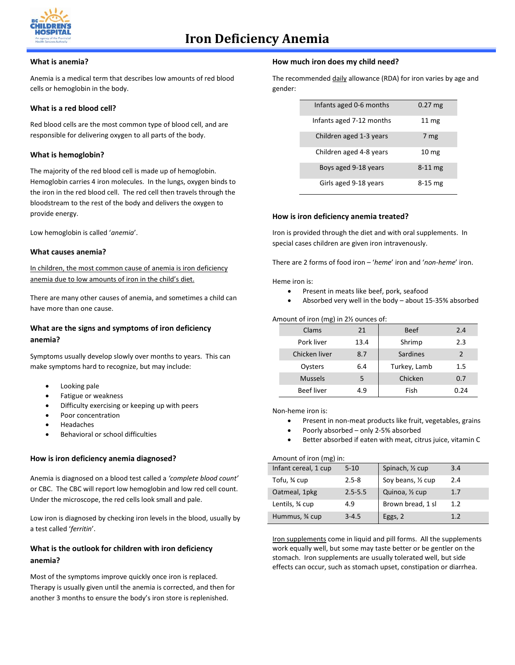

#### **What is anemia?**

Anemia is a medical term that describes low amounts of red blood cells or hemoglobin in the body.

#### **What is a red blood cell?**

Red blood cells are the most common type of blood cell, and are responsible for delivering oxygen to all parts of the body.

## **What is hemoglobin?**

The majority of the red blood cell is made up of hemoglobin. Hemoglobin carries 4 iron molecules. In the lungs, oxygen binds to the iron in the red blood cell. The red cell then travels through the bloodstream to the rest of the body and delivers the oxygen to provide energy.

Low hemoglobin is called '*anemia*'.

#### **What causes anemia?**

In children, the most common cause of anemia is iron deficiency anemia due to low amounts of iron in the child's diet.

There are many other causes of anemia, and sometimes a child can have more than one cause.

# **What are the signs and symptoms of iron deficiency anemia?**

Symptoms usually develop slowly over months to years. This can make symptoms hard to recognize, but may include:

- Looking pale
- Fatigue or weakness
- Difficulty exercising or keeping up with peers
- Poor concentration
- Headaches
- Behavioral or school difficulties

#### **How is iron deficiency anemia diagnosed?**

Anemia is diagnosed on a blood test called a *'complete blood count'* or CBC. The CBC will report low hemoglobin and low red cell count. Under the microscope, the red cells look small and pale.

Low iron is diagnosed by checking iron levels in the blood, usually by a test called '*ferritin*'.

# **What is the outlook for children with iron deficiency anemia?**

Most of the symptoms improve quickly once iron is replaced. Therapy is usually given until the anemia is corrected, and then for another 3 months to ensure the body's iron store is replenished.

#### **How much iron does my child need?**

The recommended daily allowance (RDA) for iron varies by age and gender:

| Infants aged 0-6 months  | $0.27$ mg        |
|--------------------------|------------------|
| Infants aged 7-12 months | 11 <sub>mg</sub> |
| Children aged 1-3 years  | 7 mg             |
| Children aged 4-8 years  | 10 <sub>mg</sub> |
| Boys aged 9-18 years     | $8-11$ mg        |
| Girls aged 9-18 years    | $8-15$ mg        |

#### **How is iron deficiency anemia treated?**

Iron is provided through the diet and with oral supplements. In special cases children are given iron intravenously.

There are 2 forms of food iron – '*heme*' iron and '*non-heme*' iron.

Heme iron is:

- Present in meats like beef, pork, seafood
- Absorbed very well in the body about 15-35% absorbed

#### Amount of iron (mg) in 2½ ounces of:

| Clams             | 21   | <b>Beef</b>  | 2.4           |
|-------------------|------|--------------|---------------|
| Pork liver        | 13.4 | Shrimp       | 2.3           |
| Chicken liver     | 8.7  | Sardines     | $\mathcal{P}$ |
| Oysters           | 6.4  | Turkey, Lamb | $1.5\,$       |
| <b>Mussels</b>    | 5    | Chicken      | 0.7           |
| <b>Beef liver</b> | 4.9  | Fish         | 0.24          |

Non-heme iron is:

- Present in non-meat products like fruit, vegetables, grains
- Poorly absorbed only 2-5% absorbed
- Better absorbed if eaten with meat, citrus juice, vitamin C

Amount of iron (mg) in:

| Infant cereal, 1 cup | $5 - 10$    | Spinach, 1/2 cup   | 3.4 |
|----------------------|-------------|--------------------|-----|
| Tofu, ¾ cup          | $2.5 - 8$   | Soy beans, 1/2 cup | 2.4 |
| Oatmeal, 1pkg        | $2.5 - 5.5$ | Quinoa, 1/2 cup    | 1.7 |
| Lentils, 34 cup      | 4.9         | Brown bread, 1 sl  | 1.2 |
| Hummus, 3⁄4 cup      | $3 - 4.5$   | Eggs, 2            | 12  |

Iron supplements come in liquid and pill forms. All the supplements work equally well, but some may taste better or be gentler on the stomach. Iron supplements are usually tolerated well, but side effects can occur, such as stomach upset, constipation or diarrhea.